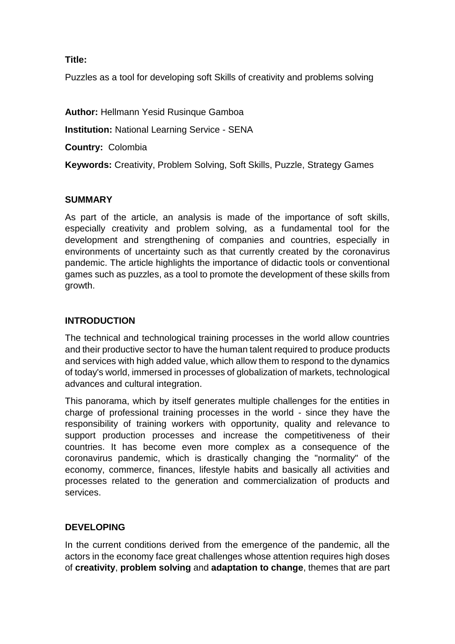#### **Title:**

Puzzles as a tool for developing soft Skills of creativity and problems solving

**Author:** Hellmann Yesid Rusinque Gamboa

**Institution:** National Learning Service - SENA

**Country:** Colombia

**Keywords:** Creativity, Problem Solving, Soft Skills, Puzzle, Strategy Games

#### **SUMMARY**

As part of the article, an analysis is made of the importance of soft skills, especially creativity and problem solving, as a fundamental tool for the development and strengthening of companies and countries, especially in environments of uncertainty such as that currently created by the coronavirus pandemic. The article highlights the importance of didactic tools or conventional games such as puzzles, as a tool to promote the development of these skills from growth.

#### **INTRODUCTION**

The technical and technological training processes in the world allow countries and their productive sector to have the human talent required to produce products and services with high added value, which allow them to respond to the dynamics of today's world, immersed in processes of globalization of markets, technological advances and cultural integration.

This panorama, which by itself generates multiple challenges for the entities in charge of professional training processes in the world - since they have the responsibility of training workers with opportunity, quality and relevance to support production processes and increase the competitiveness of their countries. It has become even more complex as a consequence of the coronavirus pandemic, which is drastically changing the "normality" of the economy, commerce, finances, lifestyle habits and basically all activities and processes related to the generation and commercialization of products and services.

## **DEVELOPING**

In the current conditions derived from the emergence of the pandemic, all the actors in the economy face great challenges whose attention requires high doses of **creativity**, **problem solving** and **adaptation to change**, themes that are part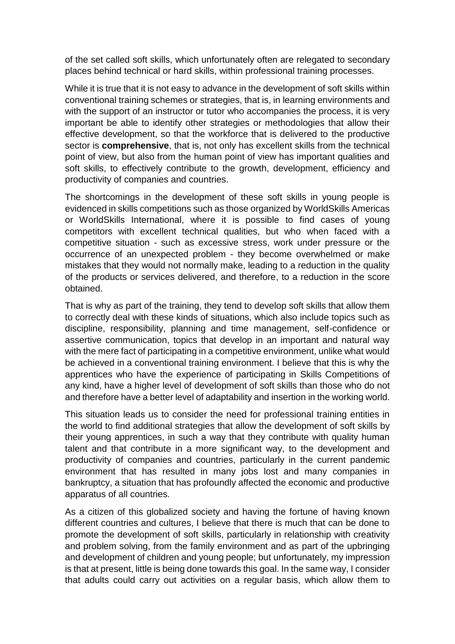of the set called soft skills, which unfortunately often are relegated to secondary places behind technical or hard skills, within professional training processes.

While it is true that it is not easy to advance in the development of soft skills within conventional training schemes or strategies, that is, in learning environments and with the support of an instructor or tutor who accompanies the process, it is very important be able to identify other strategies or methodologies that allow their effective development, so that the workforce that is delivered to the productive sector is **comprehensive**, that is, not only has excellent skills from the technical point of view, but also from the human point of view has important qualities and soft skills, to effectively contribute to the growth, development, efficiency and productivity of companies and countries.

The shortcomings in the development of these soft skills in young people is evidenced in skills competitions such as those organized by WorldSkills Americas or WorldSkills International, where it is possible to find cases of young competitors with excellent technical qualities, but who when faced with a competitive situation - such as excessive stress, work under pressure or the occurrence of an unexpected problem - they become overwhelmed or make mistakes that they would not normally make, leading to a reduction in the quality of the products or services delivered, and therefore, to a reduction in the score obtained.

That is why as part of the training, they tend to develop soft skills that allow them to correctly deal with these kinds of situations, which also include topics such as discipline, responsibility, planning and time management, self-confidence or assertive communication, topics that develop in an important and natural way with the mere fact of participating in a competitive environment, unlike what would be achieved in a conventional training environment. I believe that this is why the apprentices who have the experience of participating in Skills Competitions of any kind, have a higher level of development of soft skills than those who do not and therefore have a better level of adaptability and insertion in the working world.

This situation leads us to consider the need for professional training entities in the world to find additional strategies that allow the development of soft skills by their young apprentices, in such a way that they contribute with quality human talent and that contribute in a more significant way, to the development and productivity of companies and countries, particularly in the current pandemic environment that has resulted in many jobs lost and many companies in bankruptcy, a situation that has profoundly affected the economic and productive apparatus of all countries.

As a citizen of this globalized society and having the fortune of having known different countries and cultures, I believe that there is much that can be done to promote the development of soft skills, particularly in relationship with creativity and problem solving, from the family environment and as part of the upbringing and development of children and young people; but unfortunately, my impression is that at present, little is being done towards this goal. In the same way, I consider that adults could carry out activities on a regular basis, which allow them to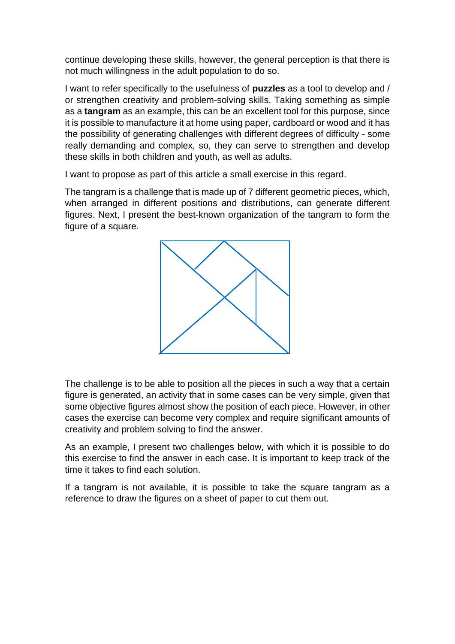continue developing these skills, however, the general perception is that there is not much willingness in the adult population to do so.

I want to refer specifically to the usefulness of **puzzles** as a tool to develop and / or strengthen creativity and problem-solving skills. Taking something as simple as a **tangram** as an example, this can be an excellent tool for this purpose, since it is possible to manufacture it at home using paper, cardboard or wood and it has the possibility of generating challenges with different degrees of difficulty - some really demanding and complex, so, they can serve to strengthen and develop these skills in both children and youth, as well as adults.

I want to propose as part of this article a small exercise in this regard.

The tangram is a challenge that is made up of 7 different geometric pieces, which, when arranged in different positions and distributions, can generate different figures. Next, I present the best-known organization of the tangram to form the figure of a square.



The challenge is to be able to position all the pieces in such a way that a certain figure is generated, an activity that in some cases can be very simple, given that some objective figures almost show the position of each piece. However, in other cases the exercise can become very complex and require significant amounts of creativity and problem solving to find the answer.

As an example, I present two challenges below, with which it is possible to do this exercise to find the answer in each case. It is important to keep track of the time it takes to find each solution.

If a tangram is not available, it is possible to take the square tangram as a reference to draw the figures on a sheet of paper to cut them out.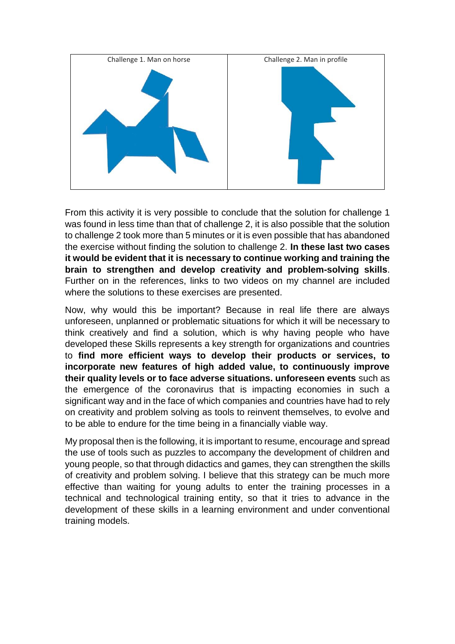

From this activity it is very possible to conclude that the solution for challenge 1 was found in less time than that of challenge 2, it is also possible that the solution to challenge 2 took more than 5 minutes or it is even possible that has abandoned the exercise without finding the solution to challenge 2. **In these last two cases it would be evident that it is necessary to continue working and training the brain to strengthen and develop creativity and problem-solving skills**. Further on in the references, links to two videos on my channel are included where the solutions to these exercises are presented.

Now, why would this be important? Because in real life there are always unforeseen, unplanned or problematic situations for which it will be necessary to think creatively and find a solution, which is why having people who have developed these Skills represents a key strength for organizations and countries to **find more efficient ways to develop their products or services, to incorporate new features of high added value, to continuously improve their quality levels or to face adverse situations. unforeseen events** such as the emergence of the coronavirus that is impacting economies in such a significant way and in the face of which companies and countries have had to rely on creativity and problem solving as tools to reinvent themselves, to evolve and to be able to endure for the time being in a financially viable way.

My proposal then is the following, it is important to resume, encourage and spread the use of tools such as puzzles to accompany the development of children and young people, so that through didactics and games, they can strengthen the skills of creativity and problem solving. I believe that this strategy can be much more effective than waiting for young adults to enter the training processes in a technical and technological training entity, so that it tries to advance in the development of these skills in a learning environment and under conventional training models.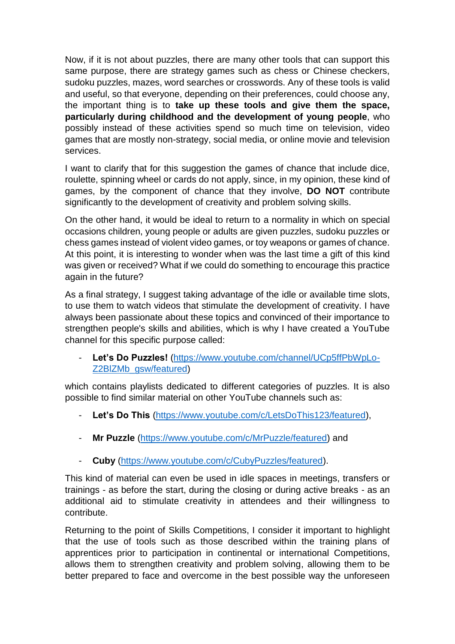Now, if it is not about puzzles, there are many other tools that can support this same purpose, there are strategy games such as chess or Chinese checkers, sudoku puzzles, mazes, word searches or crosswords. Any of these tools is valid and useful, so that everyone, depending on their preferences, could choose any, the important thing is to **take up these tools and give them the space, particularly during childhood and the development of young people**, who possibly instead of these activities spend so much time on television, video games that are mostly non-strategy, social media, or online movie and television services.

I want to clarify that for this suggestion the games of chance that include dice, roulette, spinning wheel or cards do not apply, since, in my opinion, these kind of games, by the component of chance that they involve, **DO NOT** contribute significantly to the development of creativity and problem solving skills.

On the other hand, it would be ideal to return to a normality in which on special occasions children, young people or adults are given puzzles, sudoku puzzles or chess games instead of violent video games, or toy weapons or games of chance. At this point, it is interesting to wonder when was the last time a gift of this kind was given or received? What if we could do something to encourage this practice again in the future?

As a final strategy, I suggest taking advantage of the idle or available time slots, to use them to watch videos that stimulate the development of creativity. I have always been passionate about these topics and convinced of their importance to strengthen people's skills and abilities, which is why I have created a YouTube channel for this specific purpose called:

Let's Do Puzzles! [\(https://www.youtube.com/channel/UCp5ffPbWpLo-](https://www.youtube.com/channel/UCp5ffPbWpLo-Z2BlZMb_gsw/featured)[Z2BlZMb\\_gsw/featured\)](https://www.youtube.com/channel/UCp5ffPbWpLo-Z2BlZMb_gsw/featured)

which contains playlists dedicated to different categories of puzzles. It is also possible to find similar material on other YouTube channels such as:

- **Let's Do This** [\(https://www.youtube.com/c/LetsDoThis123/featured\)](https://www.youtube.com/c/LetsDoThis123/featured),
- **Mr Puzzle** [\(https://www.youtube.com/c/MrPuzzle/featured\)](https://www.youtube.com/c/MrPuzzle/featured) and
- **Cuby** [\(https://www.youtube.com/c/CubyPuzzles/featured\)](https://www.youtube.com/c/CubyPuzzles/featured).

This kind of material can even be used in idle spaces in meetings, transfers or trainings - as before the start, during the closing or during active breaks - as an additional aid to stimulate creativity in attendees and their willingness to contribute.

Returning to the point of Skills Competitions, I consider it important to highlight that the use of tools such as those described within the training plans of apprentices prior to participation in continental or international Competitions, allows them to strengthen creativity and problem solving, allowing them to be better prepared to face and overcome in the best possible way the unforeseen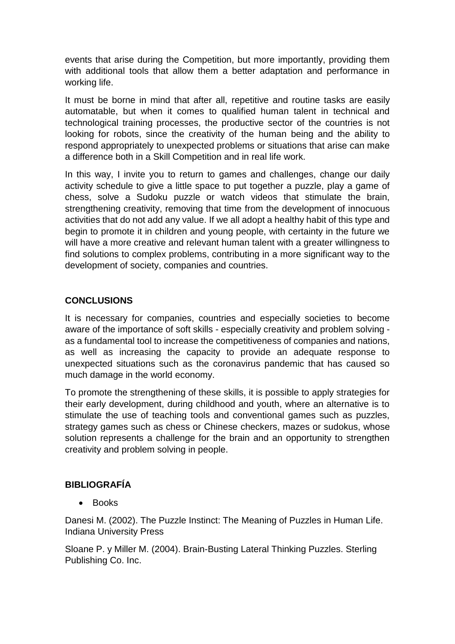events that arise during the Competition, but more importantly, providing them with additional tools that allow them a better adaptation and performance in working life.

It must be borne in mind that after all, repetitive and routine tasks are easily automatable, but when it comes to qualified human talent in technical and technological training processes, the productive sector of the countries is not looking for robots, since the creativity of the human being and the ability to respond appropriately to unexpected problems or situations that arise can make a difference both in a Skill Competition and in real life work.

In this way, I invite you to return to games and challenges, change our daily activity schedule to give a little space to put together a puzzle, play a game of chess, solve a Sudoku puzzle or watch videos that stimulate the brain, strengthening creativity, removing that time from the development of innocuous activities that do not add any value. If we all adopt a healthy habit of this type and begin to promote it in children and young people, with certainty in the future we will have a more creative and relevant human talent with a greater willingness to find solutions to complex problems, contributing in a more significant way to the development of society, companies and countries.

## **CONCLUSIONS**

It is necessary for companies, countries and especially societies to become aware of the importance of soft skills - especially creativity and problem solving as a fundamental tool to increase the competitiveness of companies and nations, as well as increasing the capacity to provide an adequate response to unexpected situations such as the coronavirus pandemic that has caused so much damage in the world economy.

To promote the strengthening of these skills, it is possible to apply strategies for their early development, during childhood and youth, where an alternative is to stimulate the use of teaching tools and conventional games such as puzzles, strategy games such as chess or Chinese checkers, mazes or sudokus, whose solution represents a challenge for the brain and an opportunity to strengthen creativity and problem solving in people.

## **BIBLIOGRAFÍA**

• Books

Danesi M. (2002). The Puzzle Instinct: The Meaning of Puzzles in Human Life. Indiana University Press

Sloane P. y Miller M. (2004). Brain-Busting Lateral Thinking Puzzles. Sterling Publishing Co. Inc.